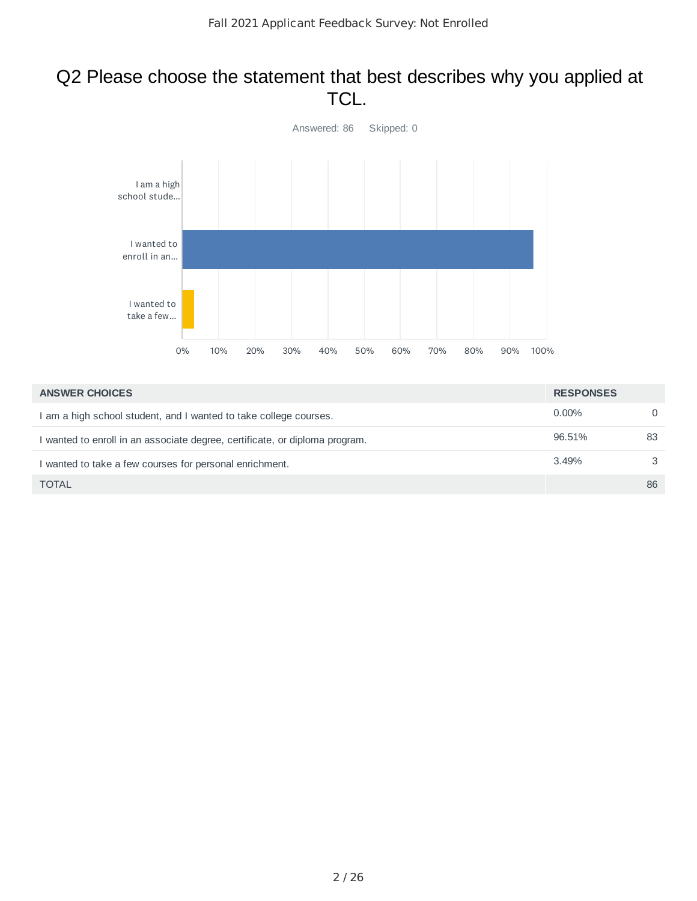## Q2 Please choose the statement that best describes why you applied at TCL.



| <b>ANSWER CHOICES</b>                                                       | <b>RESPONSES</b> |          |
|-----------------------------------------------------------------------------|------------------|----------|
| I am a high school student, and I wanted to take college courses.           | $0.00\%$         | $\Omega$ |
| I wanted to enroll in an associate degree, certificate, or diploma program. | 96.51%           | 83       |
| I wanted to take a few courses for personal enrichment.                     | 3.49%            | 3        |
| <b>TOTAL</b>                                                                |                  | 86       |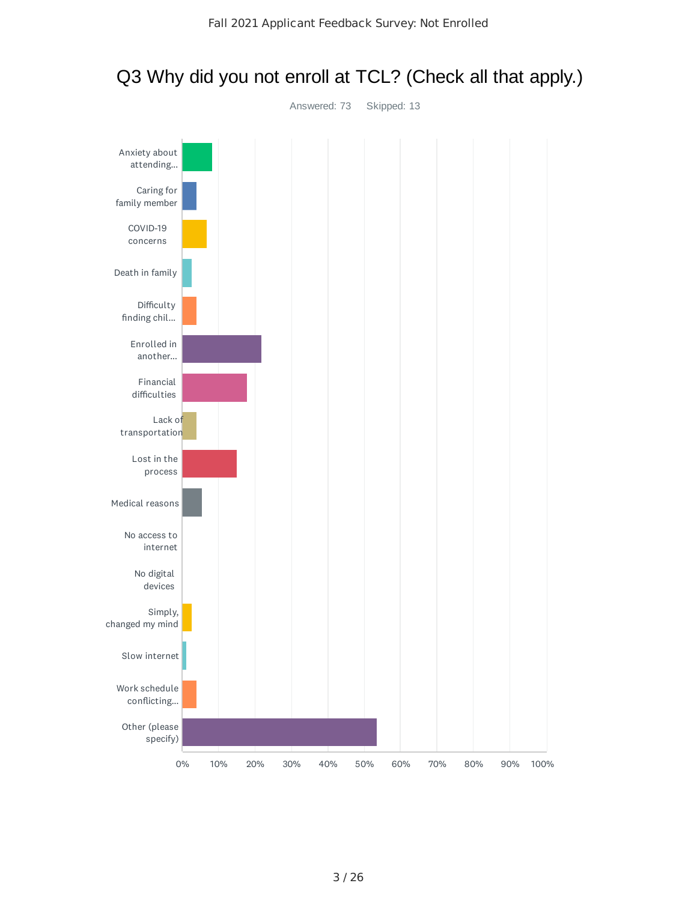

## Q3 Why did you not enroll at TCL? (Check all that apply.)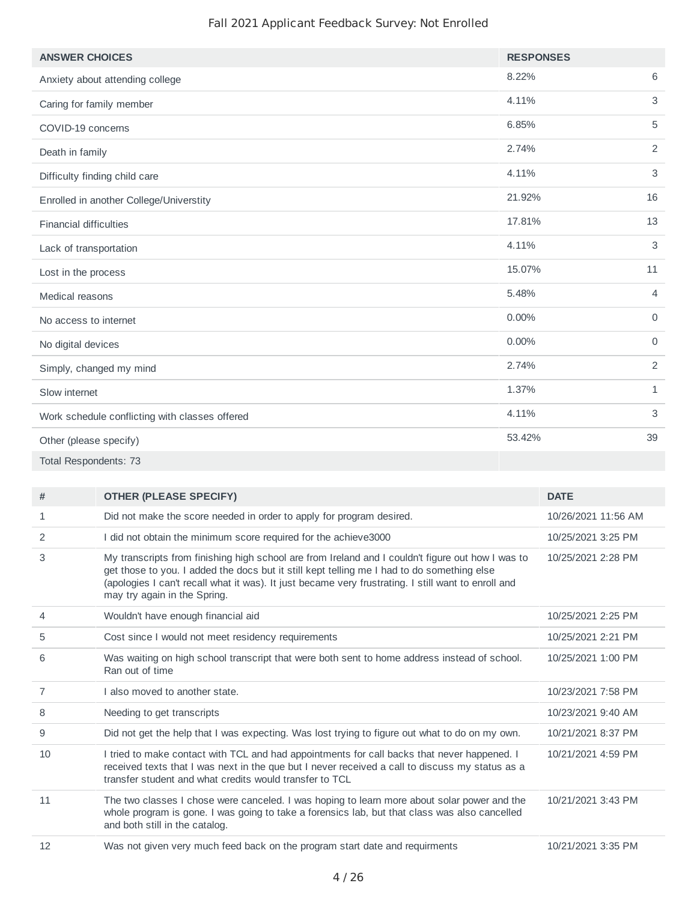| <b>ANSWER CHOICES</b>                          | <b>RESPONSES</b> |                |
|------------------------------------------------|------------------|----------------|
| Anxiety about attending college                | 8.22%            | 6              |
| Caring for family member                       | 4.11%            | 3              |
| COVID-19 concerns                              | 6.85%            | 5              |
| Death in family                                | 2.74%            | $\overline{2}$ |
| Difficulty finding child care                  | 4.11%            | 3              |
| Enrolled in another College/Universtity        | 21.92%           | 16             |
| <b>Financial difficulties</b>                  | 17.81%           | 13             |
| Lack of transportation                         | 4.11%            | 3              |
| Lost in the process                            | 15.07%           | 11             |
| Medical reasons                                | 5.48%            | $\overline{4}$ |
| No access to internet                          | 0.00%            | $\Omega$       |
| No digital devices                             | 0.00%            | $\Omega$       |
| Simply, changed my mind                        | 2.74%            | 2              |
| Slow internet                                  | 1.37%            | $\mathbf{1}$   |
| Work schedule conflicting with classes offered | 4.11%            | 3              |
| Other (please specify)                         | 53.42%           | 39             |
| Total Respondents: 73                          |                  |                |

| #  | <b>OTHER (PLEASE SPECIFY)</b>                                                                                                                                                                                                                                                                                                          | <b>DATE</b>         |
|----|----------------------------------------------------------------------------------------------------------------------------------------------------------------------------------------------------------------------------------------------------------------------------------------------------------------------------------------|---------------------|
| 1  | Did not make the score needed in order to apply for program desired.                                                                                                                                                                                                                                                                   | 10/26/2021 11:56 AM |
| 2  | I did not obtain the minimum score required for the achieve3000                                                                                                                                                                                                                                                                        | 10/25/2021 3:25 PM  |
| 3  | My transcripts from finishing high school are from Ireland and I couldn't figure out how I was to<br>get those to you. I added the docs but it still kept telling me I had to do something else<br>(apologies I can't recall what it was). It just became very frustrating. I still want to enroll and<br>may try again in the Spring. | 10/25/2021 2:28 PM  |
| 4  | Wouldn't have enough financial aid                                                                                                                                                                                                                                                                                                     | 10/25/2021 2:25 PM  |
| 5  | Cost since I would not meet residency requirements                                                                                                                                                                                                                                                                                     | 10/25/2021 2:21 PM  |
| 6  | Was waiting on high school transcript that were both sent to home address instead of school.<br>Ran out of time                                                                                                                                                                                                                        | 10/25/2021 1:00 PM  |
| 7  | I also moved to another state.                                                                                                                                                                                                                                                                                                         | 10/23/2021 7:58 PM  |
| 8  | Needing to get transcripts                                                                                                                                                                                                                                                                                                             | 10/23/2021 9:40 AM  |
| 9  | Did not get the help that I was expecting. Was lost trying to figure out what to do on my own.                                                                                                                                                                                                                                         | 10/21/2021 8:37 PM  |
| 10 | I tried to make contact with TCL and had appointments for call backs that never happened. I<br>received texts that I was next in the que but I never received a call to discuss my status as a<br>transfer student and what credits would transfer to TCL                                                                              | 10/21/2021 4:59 PM  |
| 11 | The two classes I chose were canceled. I was hoping to learn more about solar power and the<br>whole program is gone. I was going to take a forensics lab, but that class was also cancelled<br>and both still in the catalog.                                                                                                         | 10/21/2021 3:43 PM  |
| 12 | Was not given very much feed back on the program start date and requirments                                                                                                                                                                                                                                                            | 10/21/2021 3:35 PM  |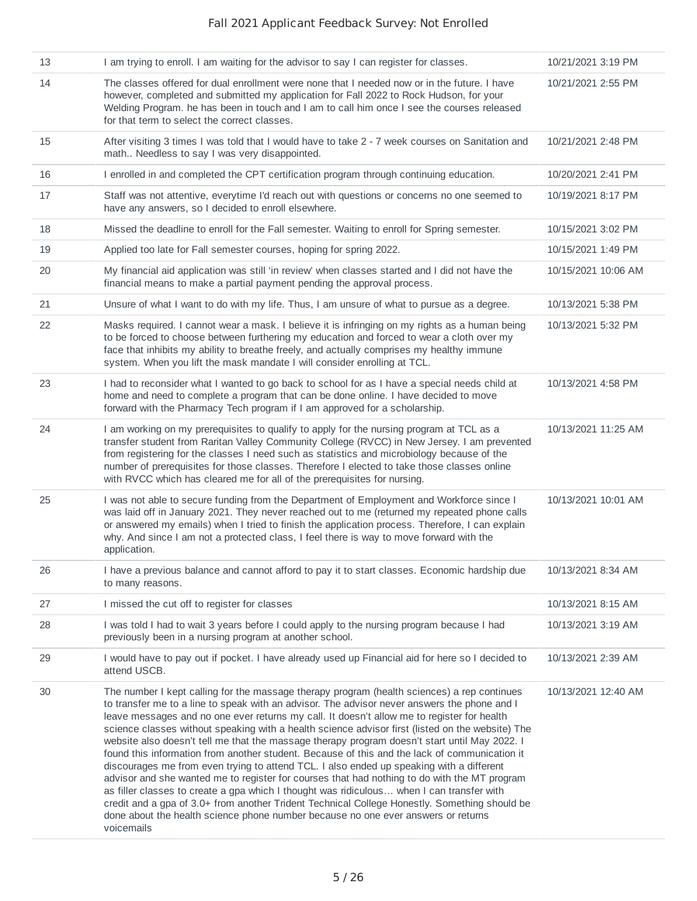| 13 | I am trying to enroll. I am waiting for the advisor to say I can register for classes.                                                                                                                                                                                                                                                                                                                                                                                                                                                                                                                                                                                                                                                                                                                                                                                                                                                                                                                                                                                                       | 10/21/2021 3:19 PM  |
|----|----------------------------------------------------------------------------------------------------------------------------------------------------------------------------------------------------------------------------------------------------------------------------------------------------------------------------------------------------------------------------------------------------------------------------------------------------------------------------------------------------------------------------------------------------------------------------------------------------------------------------------------------------------------------------------------------------------------------------------------------------------------------------------------------------------------------------------------------------------------------------------------------------------------------------------------------------------------------------------------------------------------------------------------------------------------------------------------------|---------------------|
| 14 | The classes offered for dual enrollment were none that I needed now or in the future. I have<br>however, completed and submitted my application for Fall 2022 to Rock Hudson, for your<br>Welding Program. he has been in touch and I am to call him once I see the courses released<br>for that term to select the correct classes.                                                                                                                                                                                                                                                                                                                                                                                                                                                                                                                                                                                                                                                                                                                                                         | 10/21/2021 2:55 PM  |
| 15 | After visiting 3 times I was told that I would have to take 2 - 7 week courses on Sanitation and<br>math Needless to say I was very disappointed.                                                                                                                                                                                                                                                                                                                                                                                                                                                                                                                                                                                                                                                                                                                                                                                                                                                                                                                                            | 10/21/2021 2:48 PM  |
| 16 | I enrolled in and completed the CPT certification program through continuing education.                                                                                                                                                                                                                                                                                                                                                                                                                                                                                                                                                                                                                                                                                                                                                                                                                                                                                                                                                                                                      | 10/20/2021 2:41 PM  |
| 17 | Staff was not attentive, everytime I'd reach out with questions or concerns no one seemed to<br>have any answers, so I decided to enroll elsewhere.                                                                                                                                                                                                                                                                                                                                                                                                                                                                                                                                                                                                                                                                                                                                                                                                                                                                                                                                          | 10/19/2021 8:17 PM  |
| 18 | Missed the deadline to enroll for the Fall semester. Waiting to enroll for Spring semester.                                                                                                                                                                                                                                                                                                                                                                                                                                                                                                                                                                                                                                                                                                                                                                                                                                                                                                                                                                                                  | 10/15/2021 3:02 PM  |
| 19 | Applied too late for Fall semester courses, hoping for spring 2022.                                                                                                                                                                                                                                                                                                                                                                                                                                                                                                                                                                                                                                                                                                                                                                                                                                                                                                                                                                                                                          | 10/15/2021 1:49 PM  |
| 20 | My financial aid application was still 'in review' when classes started and I did not have the<br>financial means to make a partial payment pending the approval process.                                                                                                                                                                                                                                                                                                                                                                                                                                                                                                                                                                                                                                                                                                                                                                                                                                                                                                                    | 10/15/2021 10:06 AM |
| 21 | Unsure of what I want to do with my life. Thus, I am unsure of what to pursue as a degree.                                                                                                                                                                                                                                                                                                                                                                                                                                                                                                                                                                                                                                                                                                                                                                                                                                                                                                                                                                                                   | 10/13/2021 5:38 PM  |
| 22 | Masks required. I cannot wear a mask. I believe it is infringing on my rights as a human being<br>to be forced to choose between furthering my education and forced to wear a cloth over my<br>face that inhibits my ability to breathe freely, and actually comprises my healthy immune<br>system. When you lift the mask mandate I will consider enrolling at TCL.                                                                                                                                                                                                                                                                                                                                                                                                                                                                                                                                                                                                                                                                                                                         | 10/13/2021 5:32 PM  |
| 23 | I had to reconsider what I wanted to go back to school for as I have a special needs child at<br>home and need to complete a program that can be done online. I have decided to move<br>forward with the Pharmacy Tech program if I am approved for a scholarship.                                                                                                                                                                                                                                                                                                                                                                                                                                                                                                                                                                                                                                                                                                                                                                                                                           | 10/13/2021 4:58 PM  |
| 24 | I am working on my prerequisites to qualify to apply for the nursing program at TCL as a<br>transfer student from Raritan Valley Community College (RVCC) in New Jersey. I am prevented<br>from registering for the classes I need such as statistics and microbiology because of the<br>number of prerequisites for those classes. Therefore I elected to take those classes online<br>with RVCC which has cleared me for all of the prerequisites for nursing.                                                                                                                                                                                                                                                                                                                                                                                                                                                                                                                                                                                                                             | 10/13/2021 11:25 AM |
| 25 | I was not able to secure funding from the Department of Employment and Workforce since I<br>was laid off in January 2021. They never reached out to me (returned my repeated phone calls<br>or answered my emails) when I tried to finish the application process. Therefore, I can explain<br>why. And since I am not a protected class, I feel there is way to move forward with the<br>application.                                                                                                                                                                                                                                                                                                                                                                                                                                                                                                                                                                                                                                                                                       | 10/13/2021 10:01 AM |
| 26 | I have a previous balance and cannot afford to pay it to start classes. Economic hardship due<br>to many reasons.                                                                                                                                                                                                                                                                                                                                                                                                                                                                                                                                                                                                                                                                                                                                                                                                                                                                                                                                                                            | 10/13/2021 8:34 AM  |
| 27 | I missed the cut off to register for classes                                                                                                                                                                                                                                                                                                                                                                                                                                                                                                                                                                                                                                                                                                                                                                                                                                                                                                                                                                                                                                                 | 10/13/2021 8:15 AM  |
| 28 | I was told I had to wait 3 years before I could apply to the nursing program because I had<br>previously been in a nursing program at another school.                                                                                                                                                                                                                                                                                                                                                                                                                                                                                                                                                                                                                                                                                                                                                                                                                                                                                                                                        | 10/13/2021 3:19 AM  |
| 29 | I would have to pay out if pocket. I have already used up Financial aid for here so I decided to<br>attend USCB.                                                                                                                                                                                                                                                                                                                                                                                                                                                                                                                                                                                                                                                                                                                                                                                                                                                                                                                                                                             | 10/13/2021 2:39 AM  |
| 30 | The number I kept calling for the massage therapy program (health sciences) a rep continues<br>to transfer me to a line to speak with an advisor. The advisor never answers the phone and I<br>leave messages and no one ever returns my call. It doesn't allow me to register for health<br>science classes without speaking with a health science advisor first (listed on the website) The<br>website also doesn't tell me that the massage therapy program doesn't start until May 2022. I<br>found this information from another student. Because of this and the lack of communication it<br>discourages me from even trying to attend TCL. I also ended up speaking with a different<br>advisor and she wanted me to register for courses that had nothing to do with the MT program<br>as filler classes to create a gpa which I thought was ridiculous when I can transfer with<br>credit and a gpa of 3.0+ from another Trident Technical College Honestly. Something should be<br>done about the health science phone number because no one ever answers or returns<br>voicemails | 10/13/2021 12:40 AM |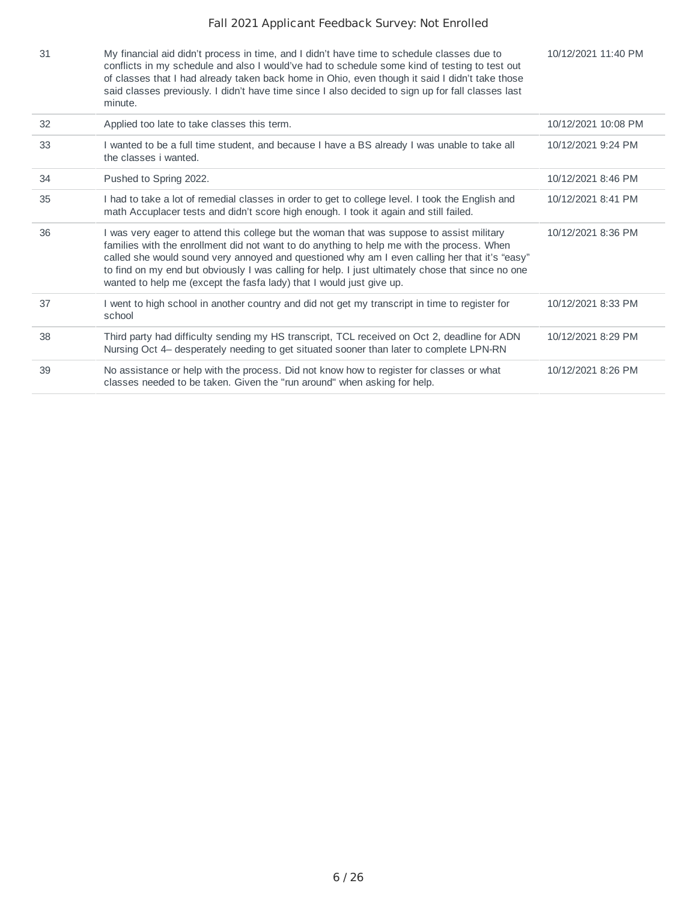| 31 | My financial aid didn't process in time, and I didn't have time to schedule classes due to<br>conflicts in my schedule and also I would've had to schedule some kind of testing to test out<br>of classes that I had already taken back home in Ohio, even though it said I didn't take those<br>said classes previously. I didn't have time since I also decided to sign up for fall classes last<br>minute.                                                         | 10/12/2021 11:40 PM |
|----|-----------------------------------------------------------------------------------------------------------------------------------------------------------------------------------------------------------------------------------------------------------------------------------------------------------------------------------------------------------------------------------------------------------------------------------------------------------------------|---------------------|
| 32 | Applied too late to take classes this term.                                                                                                                                                                                                                                                                                                                                                                                                                           | 10/12/2021 10:08 PM |
| 33 | I wanted to be a full time student, and because I have a BS already I was unable to take all<br>the classes i wanted.                                                                                                                                                                                                                                                                                                                                                 | 10/12/2021 9:24 PM  |
| 34 | Pushed to Spring 2022.                                                                                                                                                                                                                                                                                                                                                                                                                                                | 10/12/2021 8:46 PM  |
| 35 | I had to take a lot of remedial classes in order to get to college level. I took the English and<br>math Accuplacer tests and didn't score high enough. I took it again and still failed.                                                                                                                                                                                                                                                                             | 10/12/2021 8:41 PM  |
| 36 | I was very eager to attend this college but the woman that was suppose to assist military<br>families with the enrollment did not want to do anything to help me with the process. When<br>called she would sound very annoyed and questioned why am I even calling her that it's "easy"<br>to find on my end but obviously I was calling for help. I just ultimately chose that since no one<br>wanted to help me (except the fasfa lady) that I would just give up. | 10/12/2021 8:36 PM  |
| 37 | I went to high school in another country and did not get my transcript in time to register for<br>school                                                                                                                                                                                                                                                                                                                                                              | 10/12/2021 8:33 PM  |
| 38 | Third party had difficulty sending my HS transcript, TCL received on Oct 2, deadline for ADN<br>Nursing Oct 4– desperately needing to get situated sooner than later to complete LPN-RN                                                                                                                                                                                                                                                                               | 10/12/2021 8:29 PM  |
| 39 | No assistance or help with the process. Did not know how to register for classes or what<br>classes needed to be taken. Given the "run around" when asking for help.                                                                                                                                                                                                                                                                                                  | 10/12/2021 8:26 PM  |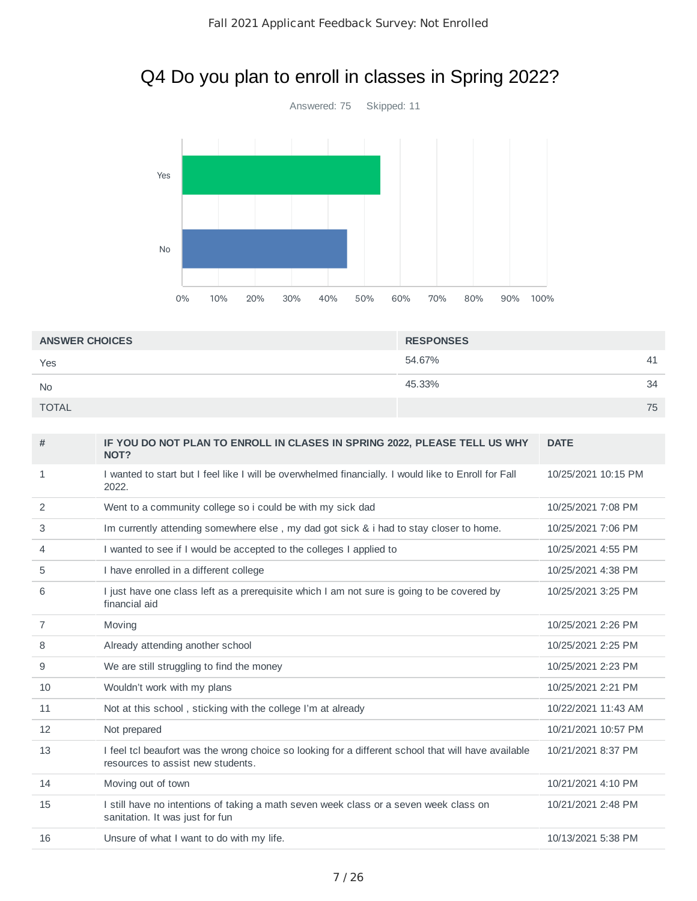# Q4 Do you plan to enroll in classes in Spring 2022?



| <b>ANSWER CHOICES</b> | <b>RESPONSES</b> |    |
|-----------------------|------------------|----|
| Yes                   | 54.67%           | 41 |
| <b>No</b>             | 45.33%           | 34 |
| <b>TOTAL</b>          |                  | 75 |

| #              | IF YOU DO NOT PLAN TO ENROLL IN CLASES IN SPRING 2022, PLEASE TELL US WHY<br>NOT?                                                        | <b>DATE</b>         |
|----------------|------------------------------------------------------------------------------------------------------------------------------------------|---------------------|
| 1              | I wanted to start but I feel like I will be overwhelmed financially. I would like to Enroll for Fall<br>2022.                            | 10/25/2021 10:15 PM |
| 2              | Went to a community college so i could be with my sick dad                                                                               | 10/25/2021 7:08 PM  |
| 3              | Im currently attending somewhere else, my dad got sick & i had to stay closer to home.                                                   | 10/25/2021 7:06 PM  |
| $\overline{4}$ | I wanted to see if I would be accepted to the colleges I applied to                                                                      | 10/25/2021 4:55 PM  |
| 5              | I have enrolled in a different college                                                                                                   | 10/25/2021 4:38 PM  |
| 6              | I just have one class left as a prerequisite which I am not sure is going to be covered by<br>financial aid                              | 10/25/2021 3:25 PM  |
| 7              | Moving                                                                                                                                   | 10/25/2021 2:26 PM  |
| 8              | Already attending another school                                                                                                         | 10/25/2021 2:25 PM  |
| 9              | We are still struggling to find the money                                                                                                | 10/25/2021 2:23 PM  |
| 10             | Wouldn't work with my plans                                                                                                              | 10/25/2021 2:21 PM  |
| 11             | Not at this school, sticking with the college I'm at already                                                                             | 10/22/2021 11:43 AM |
| 12             | Not prepared                                                                                                                             | 10/21/2021 10:57 PM |
| 13             | I feel tcl beaufort was the wrong choice so looking for a different school that will have available<br>resources to assist new students. | 10/21/2021 8:37 PM  |
| 14             | Moving out of town                                                                                                                       | 10/21/2021 4:10 PM  |
| 15             | I still have no intentions of taking a math seven week class or a seven week class on<br>sanitation. It was just for fun                 | 10/21/2021 2:48 PM  |
| 16             | Unsure of what I want to do with my life.                                                                                                | 10/13/2021 5:38 PM  |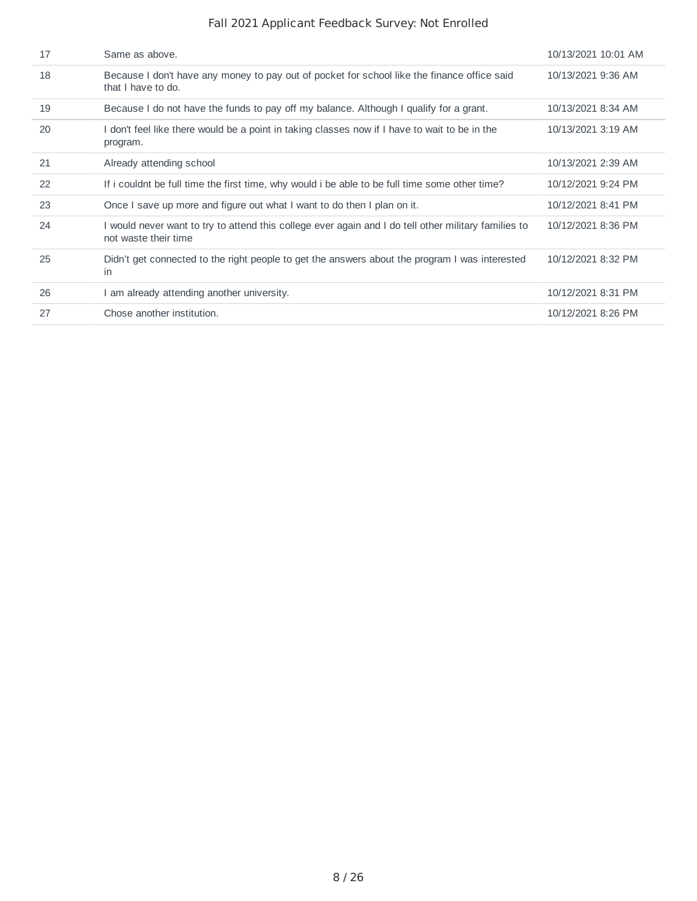| 17 | Same as above.                                                                                                               | 10/13/2021 10:01 AM |
|----|------------------------------------------------------------------------------------------------------------------------------|---------------------|
| 18 | Because I don't have any money to pay out of pocket for school like the finance office said<br>that I have to do.            | 10/13/2021 9:36 AM  |
| 19 | Because I do not have the funds to pay off my balance. Although I qualify for a grant.                                       | 10/13/2021 8:34 AM  |
| 20 | I don't feel like there would be a point in taking classes now if I have to wait to be in the<br>program.                    | 10/13/2021 3:19 AM  |
| 21 | Already attending school                                                                                                     | 10/13/2021 2:39 AM  |
| 22 | If i couldnt be full time the first time, why would i be able to be full time some other time?                               | 10/12/2021 9:24 PM  |
| 23 | Once I save up more and figure out what I want to do then I plan on it.                                                      | 10/12/2021 8:41 PM  |
| 24 | I would never want to try to attend this college ever again and I do tell other military families to<br>not waste their time | 10/12/2021 8:36 PM  |
| 25 | Didn't get connected to the right people to get the answers about the program I was interested<br>in.                        | 10/12/2021 8:32 PM  |
| 26 | am already attending another university.                                                                                     | 10/12/2021 8:31 PM  |
| 27 | Chose another institution.                                                                                                   | 10/12/2021 8:26 PM  |
|    |                                                                                                                              |                     |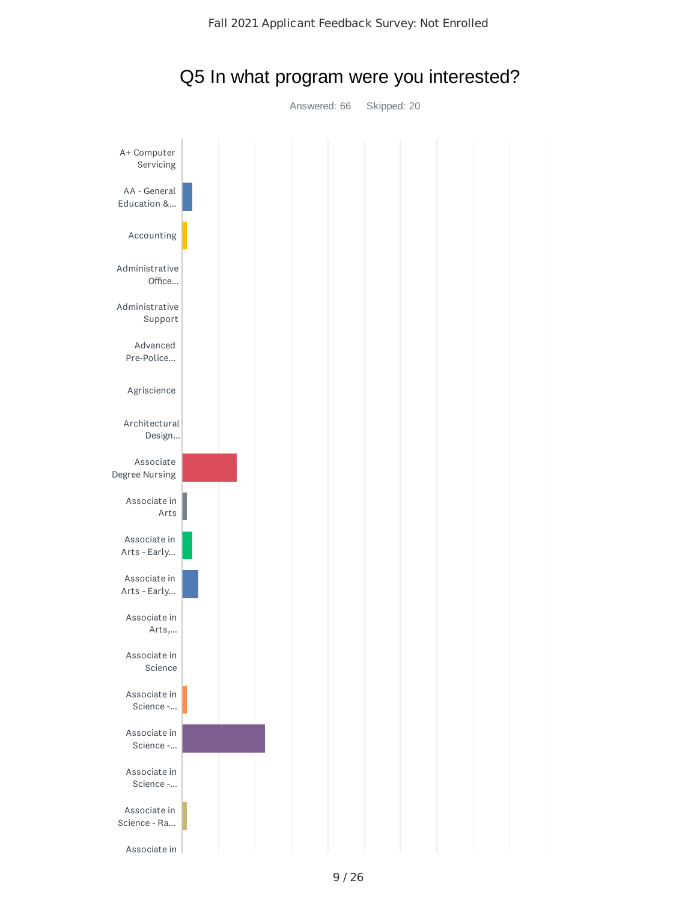

## Q5 In what program were you interested?

Answered: 66 Skipped: 20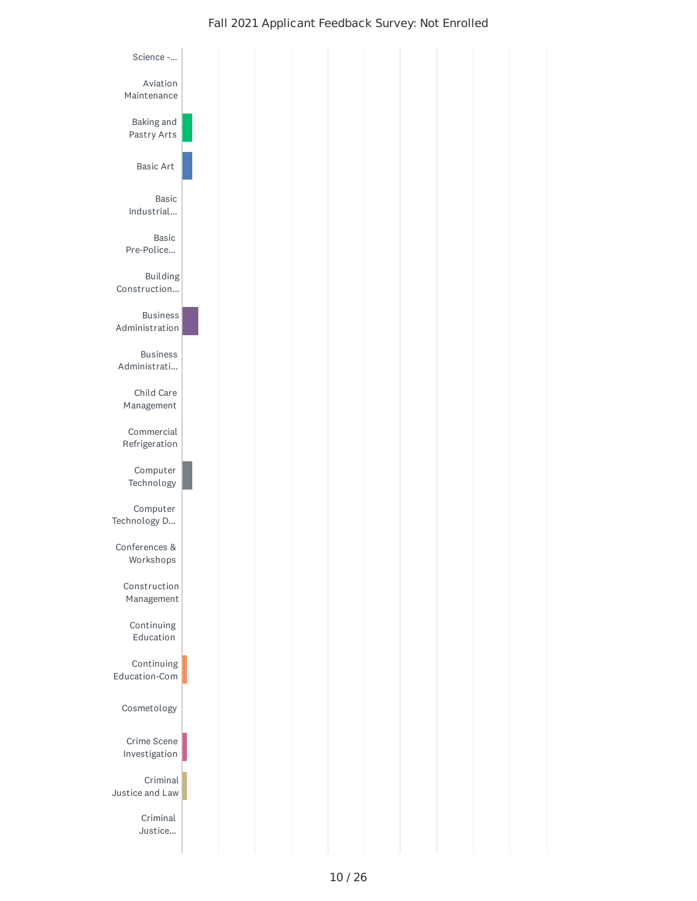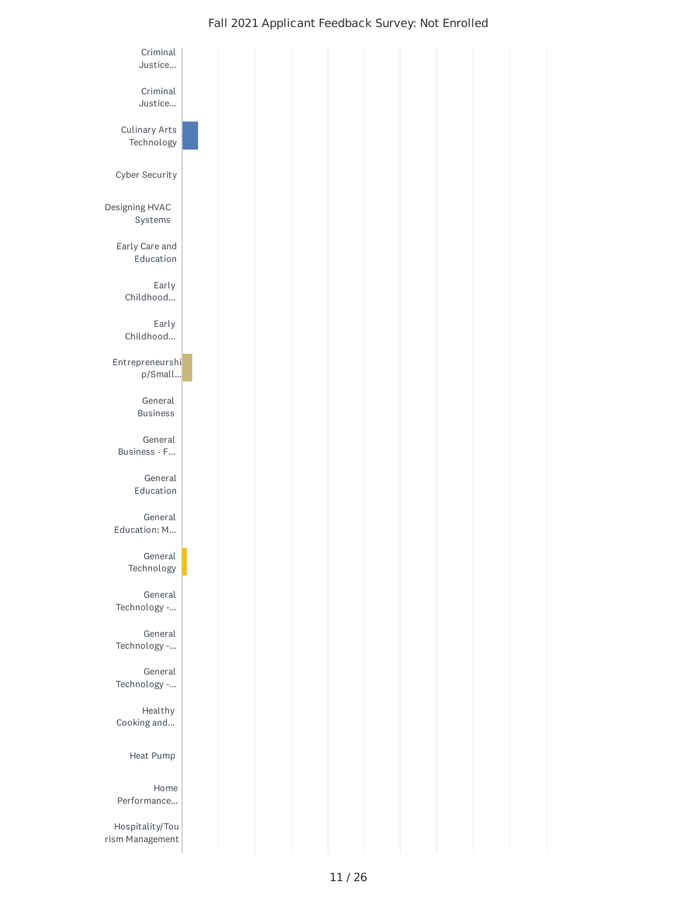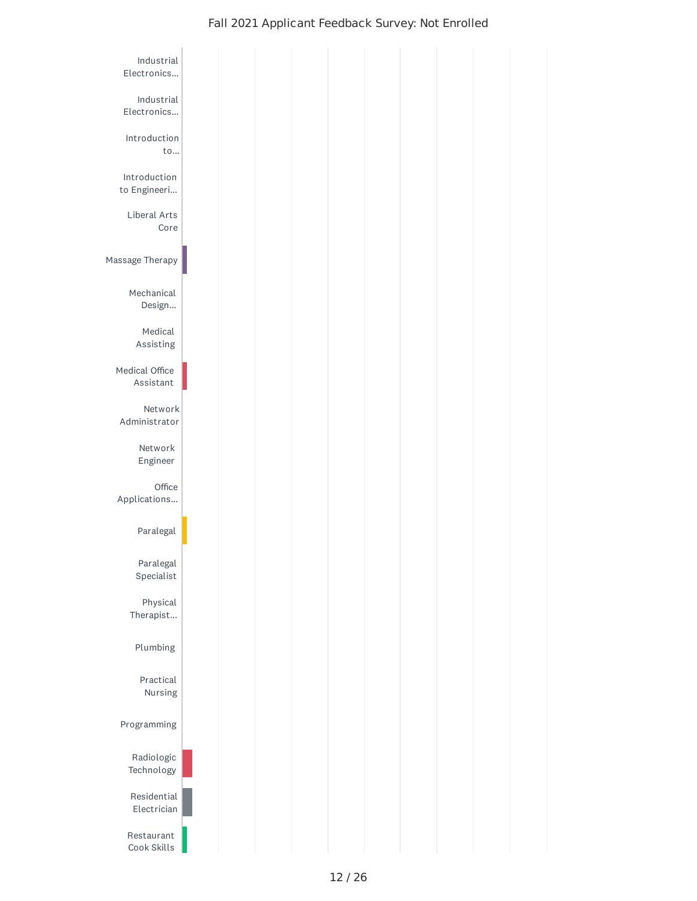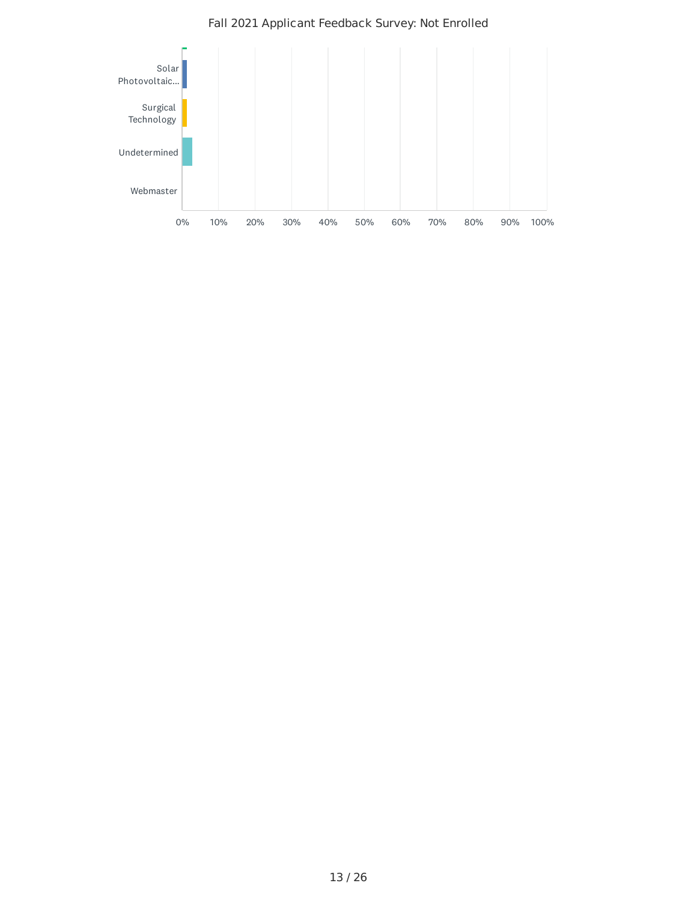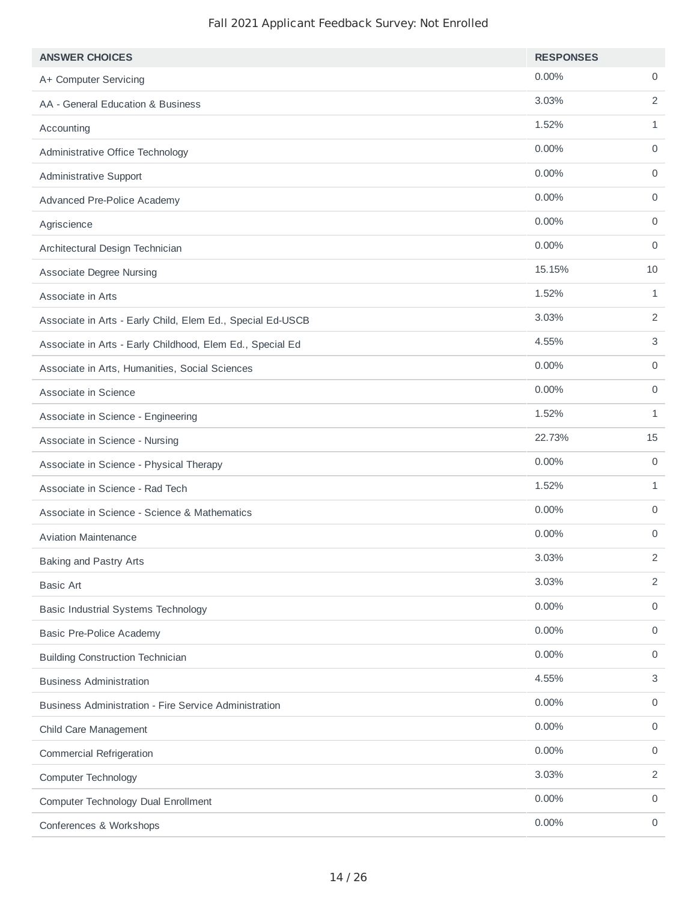| <b>ANSWER CHOICES</b>                                      | <b>RESPONSES</b> |                |
|------------------------------------------------------------|------------------|----------------|
| A+ Computer Servicing                                      | 0.00%            | 0              |
| AA - General Education & Business                          | 3.03%            | $\overline{2}$ |
| Accounting                                                 | 1.52%            | $\mathbf{1}$   |
| Administrative Office Technology                           | 0.00%            | 0              |
| Administrative Support                                     | 0.00%            | $\mathbf 0$    |
| Advanced Pre-Police Academy                                | 0.00%            | $\mathbf 0$    |
| Agriscience                                                | 0.00%            | $\mathbf 0$    |
| Architectural Design Technician                            | 0.00%            | $\mathbf 0$    |
| <b>Associate Degree Nursing</b>                            | 15.15%           | 10             |
| Associate in Arts                                          | 1.52%            | $\mathbf{1}$   |
| Associate in Arts - Early Child, Elem Ed., Special Ed-USCB | 3.03%            | $\overline{2}$ |
| Associate in Arts - Early Childhood, Elem Ed., Special Ed  | 4.55%            | 3              |
| Associate in Arts, Humanities, Social Sciences             | 0.00%            | $\mathbf 0$    |
| Associate in Science                                       | 0.00%            | $\mathsf{O}$   |
| Associate in Science - Engineering                         | 1.52%            | $\mathbf{1}$   |
| Associate in Science - Nursing                             | 22.73%           | 15             |
| Associate in Science - Physical Therapy                    | 0.00%            | $\mathbf 0$    |
| Associate in Science - Rad Tech                            | 1.52%            | 1              |
| Associate in Science - Science & Mathematics               | 0.00%            | $\mathsf{O}$   |
| <b>Aviation Maintenance</b>                                | 0.00%            | 0              |
| <b>Baking and Pastry Arts</b>                              | 3.03%            | $\overline{c}$ |
| <b>Basic Art</b>                                           | 3.03%            | $\overline{2}$ |
| <b>Basic Industrial Systems Technology</b>                 | 0.00%            | $\mathsf{O}$   |
| <b>Basic Pre-Police Academy</b>                            | 0.00%            | 0              |
| <b>Building Construction Technician</b>                    | 0.00%            | 0              |
| <b>Business Administration</b>                             | 4.55%            | 3              |
| Business Administration - Fire Service Administration      | 0.00%            | $\mathsf{O}$   |
| Child Care Management                                      | 0.00%            | $\mathsf{O}$   |
| <b>Commercial Refrigeration</b>                            | 0.00%            | $\mathsf{O}$   |
| <b>Computer Technology</b>                                 | 3.03%            | $\overline{2}$ |
| Computer Technology Dual Enrollment                        | 0.00%            | $\mathsf{O}$   |
| Conferences & Workshops                                    | 0.00%            | 0              |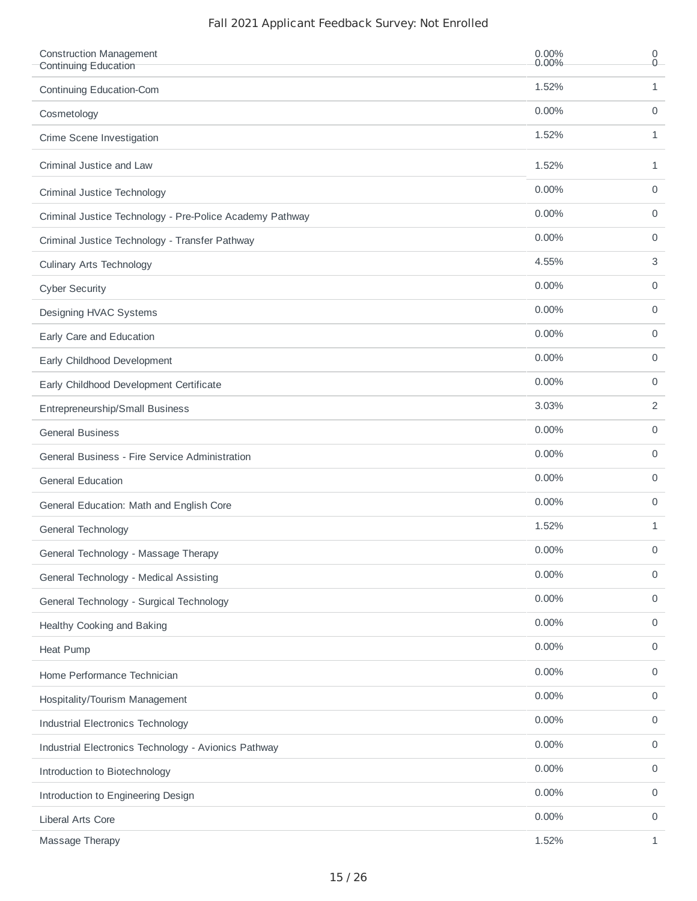| <b>Construction Management</b><br>Continuing Education   | 0.00%<br>0.00% | 0<br>$0 -$   |
|----------------------------------------------------------|----------------|--------------|
| Continuing Education-Com                                 | 1.52%          | 1            |
| Cosmetology                                              | 0.00%          | 0            |
| Crime Scene Investigation                                | 1.52%          | $\mathbf{1}$ |
| Criminal Justice and Law                                 | 1.52%          | $\mathbf{1}$ |
| Criminal Justice Technology                              | 0.00%          | 0            |
| Criminal Justice Technology - Pre-Police Academy Pathway | 0.00%          | 0            |
| Criminal Justice Technology - Transfer Pathway           | 0.00%          | 0            |
| <b>Culinary Arts Technology</b>                          | 4.55%          | 3            |
| <b>Cyber Security</b>                                    | 0.00%          | 0            |
| Designing HVAC Systems                                   | $0.00\%$       | 0            |
| Early Care and Education                                 | 0.00%          | 0            |
| Early Childhood Development                              | 0.00%          | 0            |
| Early Childhood Development Certificate                  | 0.00%          | 0            |
| Entrepreneurship/Small Business                          | 3.03%          | 2            |
| <b>General Business</b>                                  | 0.00%          | 0            |
| General Business - Fire Service Administration           | 0.00%          | 0            |
| <b>General Education</b>                                 | 0.00%          | 0            |
| General Education: Math and English Core                 | 0.00%          | 0            |
| General Technology                                       | 1.52%          | 1            |
| General Technology - Massage Therapy                     | $0.00\%$       | 0            |
| General Technology - Medical Assisting                   | 0.00%          | 0            |
| General Technology - Surgical Technology                 | 0.00%          | 0            |
| Healthy Cooking and Baking                               | 0.00%          | 0            |
| <b>Heat Pump</b>                                         | 0.00%          | 0            |
| Home Performance Technician                              | 0.00%          | 0            |
| Hospitality/Tourism Management                           | 0.00%          | 0            |
| Industrial Electronics Technology                        | 0.00%          | 0            |
| Industrial Electronics Technology - Avionics Pathway     | 0.00%          | 0            |
| Introduction to Biotechnology                            | 0.00%          | 0            |
| Introduction to Engineering Design                       | 0.00%          | 0            |
| Liberal Arts Core                                        | 0.00%          | 0            |
| Massage Therapy                                          | 1.52%          | $\mathbf{1}$ |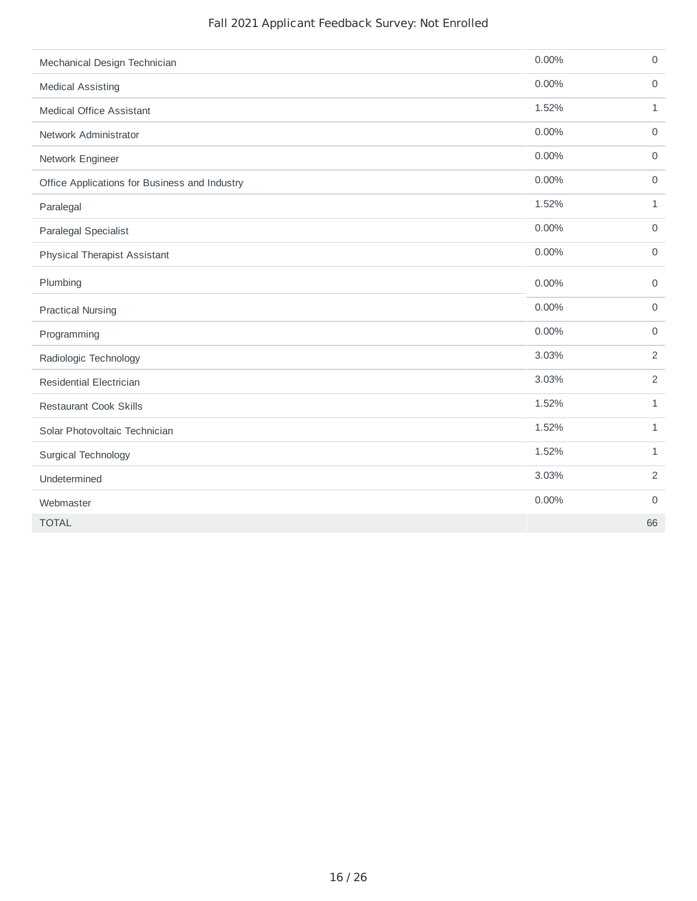| Mechanical Design Technician                  | 0.00% | $\mathsf{O}$        |
|-----------------------------------------------|-------|---------------------|
| <b>Medical Assisting</b>                      | 0.00% | $\mathsf{O}$        |
| <b>Medical Office Assistant</b>               | 1.52% | 1                   |
| Network Administrator                         | 0.00% | $\mathsf{O}$        |
| Network Engineer                              | 0.00% | $\mathsf O$         |
| Office Applications for Business and Industry | 0.00% | $\mathsf{O}$        |
| Paralegal                                     | 1.52% | 1                   |
| Paralegal Specialist                          | 0.00% | $\mathsf{O}\xspace$ |
| <b>Physical Therapist Assistant</b>           | 0.00% | $\mathbf 0$         |
| Plumbing                                      | 0.00% | $\mathbf 0$         |
| <b>Practical Nursing</b>                      | 0.00% | $\mathbf 0$         |
| Programming                                   | 0.00% | $\mathsf{O}\xspace$ |
| Radiologic Technology                         | 3.03% | $\overline{c}$      |
| <b>Residential Electrician</b>                | 3.03% | $\overline{c}$      |
| <b>Restaurant Cook Skills</b>                 | 1.52% | $\mathbf{1}$        |
| Solar Photovoltaic Technician                 | 1.52% | $\mathbf 1$         |
| Surgical Technology                           | 1.52% | $\mathbf 1$         |
| Undetermined                                  | 3.03% | $\overline{c}$      |
| Webmaster                                     | 0.00% | $\mathsf O$         |
| <b>TOTAL</b>                                  |       | 66                  |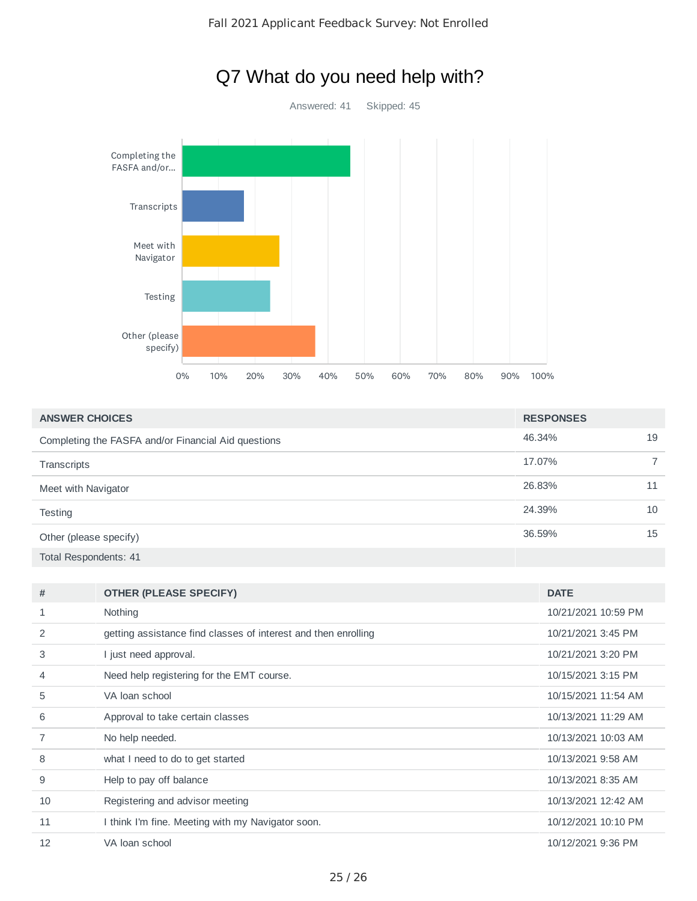

## Q7 What do you need help with?

| <b>ANSWER CHOICES</b>                               | <b>RESPONSES</b> |    |
|-----------------------------------------------------|------------------|----|
| Completing the FASFA and/or Financial Aid questions | 46.34%           | 19 |
| Transcripts                                         | 17.07%           |    |
| Meet with Navigator                                 | 26.83%           | 11 |
| Testing                                             | 24.39%           | 10 |
| Other (please specify)                              | 36.59%           | 15 |
| Total Respondents: 41                               |                  |    |

| #              | <b>OTHER (PLEASE SPECIFY)</b>                                  | <b>DATE</b>         |
|----------------|----------------------------------------------------------------|---------------------|
|                | Nothing                                                        | 10/21/2021 10:59 PM |
| 2              | getting assistance find classes of interest and then enrolling | 10/21/2021 3:45 PM  |
| 3              | l just need approval.                                          | 10/21/2021 3:20 PM  |
| 4              | Need help registering for the EMT course.                      | 10/15/2021 3:15 PM  |
| 5              | VA loan school                                                 | 10/15/2021 11:54 AM |
| 6              | Approval to take certain classes                               | 10/13/2021 11:29 AM |
| $\overline{7}$ | No help needed.                                                | 10/13/2021 10:03 AM |
| 8              | what I need to do to get started                               | 10/13/2021 9:58 AM  |
| 9              | Help to pay off balance                                        | 10/13/2021 8:35 AM  |
| 10             | Registering and advisor meeting                                | 10/13/2021 12:42 AM |
| 11             | I think I'm fine. Meeting with my Navigator soon.              | 10/12/2021 10:10 PM |
| 12             | VA loan school                                                 | 10/12/2021 9:36 PM  |